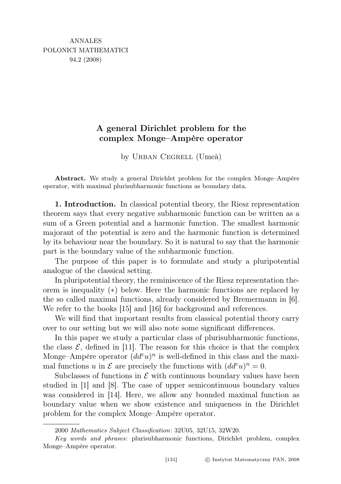## A general Dirichlet problem for the complex Monge–Ampère operator

by URBAN CEGRELL (Umeå)

Abstract. We study a general Dirichlet problem for the complex Monge–Ampère operator, with maximal plurisubharmonic functions as boundary data.

1. Introduction. In classical potential theory, the Riesz representation theorem says that every negative subharmonic function can be written as a sum of a Green potential and a harmonic function. The smallest harmonic majorant of the potential is zero and the harmonic function is determined by its behaviour near the boundary. So it is natural to say that the harmonic part is the boundary value of the subharmonic function.

The purpose of this paper is to formulate and study a pluripotential analogue of the classical setting.

In pluripotential theory, the reminiscence of the Riesz representation theorem is inequality (∗) below. Here the harmonic functions are replaced by the so called maximal functions, already considered by Bremermann in [6]. We refer to the books [15] and [16] for background and references.

We will find that important results from classical potential theory carry over to our setting but we will also note some significant differences.

In this paper we study a particular class of plurisubharmonic functions, the class  $\mathcal{E}$ , defined in [11]. The reason for this choice is that the complex Monge–Ampère operator  $(dd^c u)^n$  is well-defined in this class and the maximal functions u in  $\mathcal E$  are precisely the functions with  $(dd^c u)^n=0$ .

Subclasses of functions in  $\mathcal E$  with continuous boundary values have been studied in [1] and [8]. The case of upper semicontinuous boundary values was considered in [14]. Here, we allow any bounded maximal function as boundary value when we show existence and uniqueness in the Dirichlet problem for the complex Monge–Ampère operator.

<sup>2000</sup> Mathematics Subject Classification: 32U05, 32U15, 32W20.

Key words and phrases: plurisubharmonic functions, Dirichlet problem, complex Monge–Ampère operator.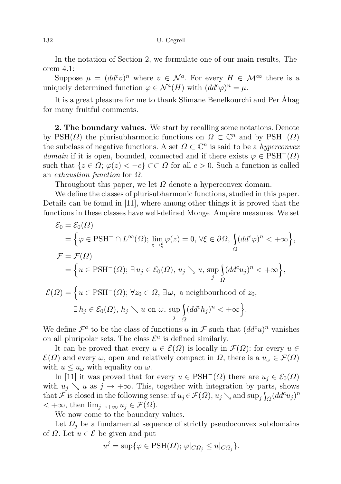In the notation of Section 2, we formulate one of our main results, Theorem 4.1:

Suppose  $\mu = (dd^c v)^n$  where  $v \in \mathcal{N}^a$ . For every  $H \in \mathcal{M}^\infty$  there is a uniquely determined function  $\varphi \in \mathcal{N}^a(H)$  with  $(dd^c\varphi)^n = \mu$ .

It is a great pleasure for me to thank Slimane Benelkourchi and Per Åhag for many fruitful comments.

2. The boundary values. We start by recalling some notations. Denote by PSH( $\Omega$ ) the plurisubharmonic functions on  $\Omega \subset \mathbb{C}^n$  and by PSH<sup>-</sup>( $\Omega$ ) the subclass of negative functions. A set  $\Omega \subset \mathbb{C}^n$  is said to be a *hyperconvex* domain if it is open, bounded, connected and if there exists  $\varphi \in \text{PSH}^{-1}(\Omega)$ such that  $\{z \in \Omega; \varphi(z) < -c\} \subset \subset \Omega$  for all  $c > 0$ . Such a function is called an *exhaustion function* for  $\Omega$ .

Throughout this paper, we let  $\Omega$  denote a hyperconvex domain.

We define the classes of plurisubharmonic functions, studied in this paper. Details can be found in [11], where among other things it is proved that the functions in these classes have well-defined Monge–Ampère measures. We set

$$
\mathcal{E}_0 = \mathcal{E}_0(\Omega)
$$
  
\n
$$
= \left\{ \varphi \in \text{PSH}^- \cap L^{\infty}(\Omega) ; \lim_{z \to \xi} \varphi(z) = 0, \forall \xi \in \partial \Omega, \int_{\Omega} (dd^c \varphi)^n < +\infty \right\},
$$
  
\n
$$
\mathcal{F} = \mathcal{F}(\Omega)
$$
  
\n
$$
= \left\{ u \in \text{PSH}^-(\Omega) ; \exists u_j \in \mathcal{E}_0(\Omega), u_j \searrow u, \sup_j \int_{\Omega} (dd^c u_j)^n < +\infty \right\},
$$
  
\n
$$
\mathcal{E}(\Omega) = \left\{ u \in \text{PSH}^-(\Omega) ; \forall z_0 \in \Omega, \exists \omega, \text{ a neighbourhood of } z_0,
$$
  
\n
$$
\exists h_j \in \mathcal{E}_0(\Omega), h_j \searrow u \text{ on } \omega, \sup_j \int_{\Omega} (dd^c h_j)^n < +\infty \right\}.
$$

We define  $\mathcal{F}^a$  to be the class of functions u in  $\mathcal{F}$  such that  $(dd^c u)^n$  vanishes on all pluripolar sets. The class  $\mathcal{E}^a$  is defined similarly.

Ω

It can be proved that every  $u \in \mathcal{E}(\Omega)$  is locally in  $\mathcal{F}(\Omega)$ : for every  $u \in$  $\mathcal{E}(\Omega)$  and every  $\omega$ , open and relatively compact in  $\Omega$ , there is a  $u_{\omega} \in \mathcal{F}(\Omega)$ with  $u \leq u_{\omega}$  with equality on  $\omega$ .

In [11] it was proved that for every  $u \in \text{PSH}^-(\Omega)$  there are  $u_j \in \mathcal{E}_0(\Omega)$ with  $u_j \searrow u$  as  $j \to +\infty$ . This, together with integration by parts, shows that  $\mathcal F$  is closed in the following sense: if  $u_j \in \mathcal F(\Omega), u_j \searrow$  and  $\sup_j \int_{\Omega} (dd^c u_j)^n$  $< +\infty$ , then  $\lim_{i \to +\infty} u_i \in \mathcal{F}(\Omega)$ .

We now come to the boundary values.

Let  $\Omega_i$  be a fundamental sequence of strictly pseudoconvex subdomains of  $\Omega$ . Let  $u \in \mathcal{E}$  be given and put

$$
u^{j} = \sup \{ \varphi \in \text{PSH}(\Omega); \, \varphi|_{C\Omega_{j}} \le u|_{C\Omega_{j}} \}.
$$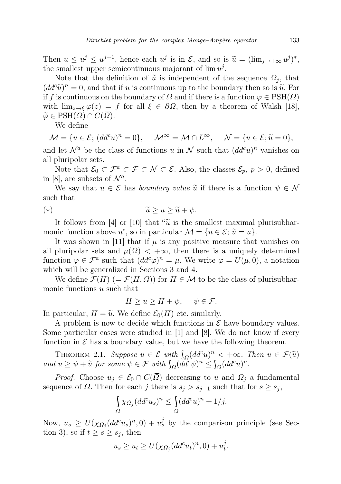Then  $u \leq u^j \leq u^{j+1}$ , hence each  $u^j$  is in  $\mathcal{E}$ , and so is  $\tilde{u} = (\lim_{j \to +\infty} u^j)^*$ , the smallest upper semicontinuous majorant of  $\lim u^j$ the smallest upper semicontinuous majorant of  $\lim u^{j}$ .

Note that the definition of  $\tilde{u}$  is independent of the sequence  $\Omega_i$ , that  $(dd^c\widetilde{u})^n=0$ , and that if u is continuous up to the boundary then so is  $\widetilde{u}$ . For<br>if f is continuous on the boundary of Q and if there is a function  $(a \in \text{PSH}(Q))$ if f is continuous on the boundary of  $\Omega$  and if there is a function  $\varphi \in \text{PSH}(\Omega)$ with  $\lim_{z\to\xi}\varphi(z) = f$  for all  $\xi \in \partial\Omega$ , then by a theorem of Walsh [18],  $\widetilde{\varphi} \in \text{PSH}(\Omega) \cap C(\Omega).$ 

We define

$$
\mathcal{M} = \{ u \in \mathcal{E}; (dd^c u)^n = 0 \}, \quad \mathcal{M}^{\infty} = \mathcal{M} \cap L^{\infty}, \quad \mathcal{N} = \{ u \in \mathcal{E}; \tilde{u} = 0 \},
$$

and let  $\mathcal{N}^a$  be the class of functions u in  $\mathcal N$  such that  $(dd^c u)^n$  vanishes on all pluripolar sets.

Note that  $\mathcal{E}_0 \subset \mathcal{F}^a \subset \mathcal{F} \subset \mathcal{N} \subset \mathcal{E}$ . Also, the classes  $\mathcal{E}_p, p > 0$ , defined in [8], are subsets of  $\mathcal{N}^a$ .

We say that  $u \in \mathcal{E}$  has boundary value  $\tilde{u}$  if there is a function  $\psi \in \mathcal{N}$ such that

$$
(*)\qquad \qquad \widetilde{u} \ge u \ge \widetilde{u} + \psi.
$$

It follows from [4] or [10] that " $\tilde{u}$  is the smallest maximal plurisubharmonic function above u", so in particular  $\mathcal{M} = \{u \in \mathcal{E}; \tilde{u} = u\}.$ 

It was shown in [11] that if  $\mu$  is any positive measure that vanishes on all pluripolar sets and  $\mu(\Omega) < +\infty$ , then there is a uniquely determined function  $\varphi \in \mathcal{F}^a$  such that  $(dd^c\varphi)^n = \mu$ . We write  $\varphi = U(\mu,0)$ , a notation which will be generalized in Sections 3 and 4.

We define  $\mathcal{F}(H)$  (=  $\mathcal{F}(H,\Omega)$ ) for  $H \in \mathcal{M}$  to be the class of plurisubharmonic functions u such that

$$
H \ge u \ge H + \psi, \quad \psi \in \mathcal{F}.
$$

In particular,  $H = \tilde{u}$ . We define  $\mathcal{E}_0(H)$  etc. similarly.

A problem is now to decide which functions in  $\mathcal E$  have boundary values. Some particular cases were studied in [1] and [8]. We do not know if every function in  $\mathcal E$  has a boundary value, but we have the following theorem.

THEOREM 2.1. Suppose  $u \in \mathcal{E}$  with  $\int_{\Omega} (dd^c u)^n < +\infty$ . Then  $u \in \mathcal{F}(\tilde{u})$ <br>Lu >  $\psi_1$ ,  $\tilde{u}$  for some  $\psi \in \mathcal{F}$  with  $\int_{\Omega} (dd^c u)^n < \int_{\Omega} (dd^c u)^n$ and  $u \ge \psi + \widetilde{u}$  for some  $\psi \in \mathcal{F}$  with  $\int_{\Omega} (\widetilde{dd}^c \psi)^n \le \int_{\Omega} (dd^c u)^n$ .

*Proof.* Choose  $u_j \in \mathcal{E}_0 \cap C(\overline{\Omega})$  decreasing to u and  $\Omega_j$  a fundamental sequence of  $\Omega$ . Then for each j there is  $s_j > s_{j-1}$  such that for  $s \geq s_j$ ,

$$
\int_{\Omega} \chi_{\Omega_j} (dd^c u_s)^n \le \int_{\Omega} (dd^c u)^n + 1/j.
$$

Now,  $u_s \geq U(\chi_{\Omega_j}(dd^c u_s)^n, 0) + u_s^j$  by the comparison principle (see Section 3), so if  $t \geq s \geq s_j$ , then

$$
u_s \ge u_t \ge U(\chi_{\Omega_j}(dd^c u_t)^n, 0) + u_t^j.
$$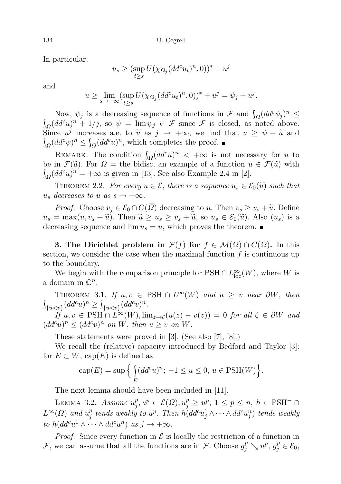In particular,

$$
u_s \ge (\sup_{t \ge s} U(\chi_{\Omega_j}(dd^c u_t)^n, 0))^* + u^j
$$

and

$$
u \ge \lim_{s \to +\infty} (\sup_{t \ge s} U(\chi_{\Omega_j}(dd^c u_t)^n, 0))^* + u^j = \psi_j + u^j.
$$

Now,  $\psi_j$  is a decreasing sequence of functions in  $\mathcal F$  and  $\int_{\Omega} (dd^c \psi_j)^n \leq$  $\int_{\Omega} (dd^c u)^n + 1/j$ , so  $\psi = \lim_{v \to \infty} \psi_j \in \mathcal{F}$  since  $\mathcal{F}$  is closed, as noted above. Since  $u^j$  increases a.e. to  $\tilde{u}$  as  $j \to +\infty$ , we find that  $u \ge \psi + \tilde{u}$  and  $\int (dd^c u)^n \le \int (dd^c u)^n$  which completes the proof  $\int_{\Omega} (dd^c \psi)^n \leq \int_{\Omega} (dd^c u)^n$ , which completes the proof.

REMARK. The condition  $\int_{\Omega} (dd^c u)^n < +\infty$  is not necessary for u to be in  $\mathcal{F}(\tilde{u})$ . For  $\Omega =$  the bidisc, an example of a function  $u \in \mathcal{F}(\tilde{u})$  with  $\int_{\Omega} (dd^c u)^n = +\infty$  is given in [13]. See also Example 2.4 in [2].

THEOREM 2.2. For every  $u \in \mathcal{E}$ , there is a sequence  $u_s \in \mathcal{E}_0(\tilde{u})$  such that  $u_s$  decreases to u as  $s \to +\infty$ .

*Proof.* Choose  $v_j \in \mathcal{E}_0 \cap C(\overline{\Omega})$  decreasing to u. Then  $v_s \ge v_s + \widetilde{u}$ . Define  $u_s = \max(u, v_s + \tilde{u})$ . Then  $\tilde{u} \ge u_s \ge v_s + \tilde{u}$ , so  $u_s \in \mathcal{E}_0(\tilde{u})$ . Also  $(u_s)$  is a decreasing sequence and  $\lim u_s = u$ , which proves the theorem.

**3.** The Dirichlet problem in  $\mathcal{F}(f)$  for  $f \in \mathcal{M}(\Omega) \cap C(\Omega)$ . In this section, we consider the case when the maximal function  $f$  is continuous up to the boundary.

We begin with the comparison principle for  $PSH \cap L^{\infty}_{loc}(W)$ , where W is a domain in  $\mathbb{C}^n$ .

THEOREM 3.1. If  $u, v \in \text{PSH} \cap L^{\infty}(W)$  and  $u \geq v$  near  $\partial W$ , then  $\int_{\{u < v\}} (dd^c u)^n \ge \int_{\{u < v\}} (dd^c v)^n.$ 

If  $u, v \in \text{PSH} \cap L^{\infty}(W), \lim_{z \to \zeta} (u(z) - v(z)) = 0$  for all  $\zeta \in \partial W$  and  $(dd^c u)^n \leq (dd^c v)^n$  on W, then  $u \geq v$  on W.

These statements were proved in [3]. (See also [7], [8].)

We recall the (relative) capacity introduced by Bedford and Taylor [3]: for  $E \subset W$ , cap $(E)$  is defined as

$$
cap(E) = sup \left\{ \int_{E} (dd^{c}u)^{n}; -1 \le u \le 0, u \in \text{PSH}(W) \right\}.
$$

The next lemma should have been included in [11].

LEMMA 3.2. Assume  $u_i^p$  $j^p, u^p \in \mathcal{E}(\Omega), u_j^p \geq u^p, 1 \leq p \leq n, h \in \text{PSH}^-\cap$  $L^{\infty}(\Omega)$  and  $u_i^p$  $\hat{p}_j^p$  tends weakly to  $u^p$ . Then  $\tilde{h(dd^c u_j^1} \wedge \cdots \wedge dd^c u_j^n)$  tends weakly to  $h(dd^cu^1\wedge\cdots\wedge dd^cu^n)$  as  $j\to+\infty$ .

*Proof.* Since every function in  $\mathcal E$  is locally the restriction of a function in F, we can assume that all the functions are in F. Choose  $g_j^p \searrow u^p$ ,  $g_j^p \in \mathcal{E}_0$ ,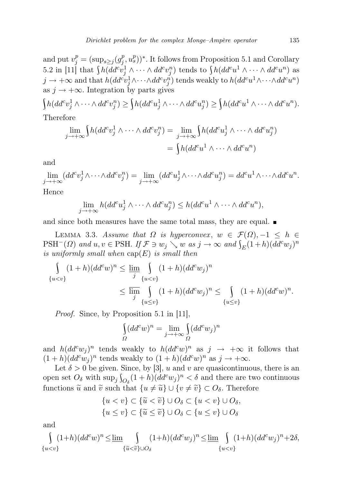and put  $v_j^p = (\sup_{s \ge j} (g_j^p))$  $(p_j^p, u_s^p))^*$ . It follows from Proposition 5.1 and Corollary 5.2 in [11] that  $\int h(dd^cv_j^1\wedge\cdots\wedge dd^cv_j^n)$  tends to  $\int h(dd^cu^1\wedge\cdots\wedge dd^cu^n)$  as  $j\to +\infty$  and that  $h(dd^cv_j^1\wedge\cdots\wedge dd^cv_j^n)$  tends weakly to  $h(dd^cu^1\wedge\cdots\wedge dd^cu^n)$ as  $j \to +\infty$ . Integration by parts gives

$$
\int h(dd^c v_j^1 \wedge \cdots \wedge dd^c v_j^n) \ge \int h(dd^c u_j^1 \wedge \cdots \wedge dd^c u_j^n) \ge \int h(dd^c u^1 \wedge \cdots \wedge dd^c u^n).
$$

Therefore

$$
\lim_{j \to +\infty} \int h(dd^c v_j^1 \wedge \cdots \wedge dd^c v_j^n) = \lim_{j \to +\infty} \int h(dd^c u_j^1 \wedge \cdots \wedge dd^c u_j^n)
$$

$$
= \int h(dd^c u^1 \wedge \cdots \wedge dd^c u^n)
$$

and

$$
\lim_{j \to +\infty} (dd^c v_j^1 \wedge \cdots \wedge dd^c v_j^n) = \lim_{j \to +\infty} (dd^c u_j^1 \wedge \cdots \wedge dd^c u_j^n) = dd^c u^1 \wedge \cdots \wedge dd^c u^n.
$$

Hence

$$
\lim_{j \to +\infty} h(dd^c u_j^1 \wedge \cdots \wedge dd^c u_j^n) \leq h(dd^c u^1 \wedge \cdots \wedge dd^c u^n),
$$

and since both measures have the same total mass, they are equal.

LEMMA 3.3. Assume that  $\Omega$  is hyperconvex,  $w \in \mathcal{F}(\Omega), -1 \leq h \in$ PSH<sup>-</sup>( $\Omega$ ) and  $u, v \in PSH$ . If  $\mathcal{F} \ni w_j \searrow w$  as  $j \to \infty$  and  $\int_E (1+h)(dd^c w_j)^n$ is uniformly small when  $cap(E)$  is small then

$$
\int_{\{u  
 
$$
\le \lim_{j} \int_{\{u\le v\}} (1+h)(dd^c w_j)^n \le \int_{\{u\le v\}} (1+h)(dd^c w)^n.
$$
$$

Proof. Since, by Proposition 5.1 in [11],

$$
\int_{\Omega} (dd^c w)^n = \lim_{j \to +\infty} \int_{\Omega} (dd^c w_j)^n
$$

and  $h(dd^c w_j)^n$  tends weakly to  $h(dd^c w)^n$  as  $j \to +\infty$  it follows that  $(1+h)(dd^c w_j)^n$  tends weakly to  $(1+h)(dd^c w)^n$  as  $j \to +\infty$ .

Let  $\delta > 0$  be given. Since, by [3], u and v are quasicontinuous, there is an open set  $O_\delta$  with  $\sup_j \int_{O_\delta} (1+h)(dd^c w_j)^n < \delta$  and there are two continuous functions  $\tilde{u}$  and  $\tilde{v}$  such that  $\{u \neq \tilde{u}\} \cup \{v \neq \tilde{v}\} \subset O_{\delta}$ . Therefore

$$
\{u < v\} \subset \{\widetilde{u} < \widetilde{v}\} \cup O_{\delta} \subset \{u < v\} \cup O_{\delta},
$$
  

$$
\{u \le v\} \subset \{\widetilde{u} \le \widetilde{v}\} \cup O_{\delta} \subset \{u \le v\} \cup O_{\delta}
$$

and

$$
\int_{\{u
$$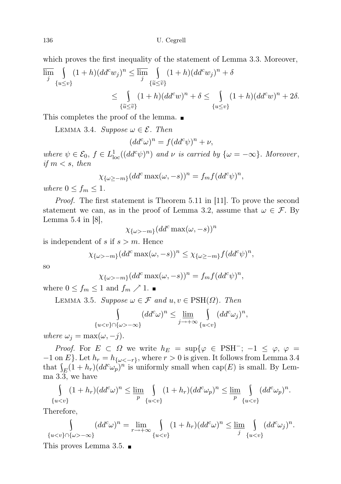which proves the first inequality of the statement of Lemma 3.3. Moreover,

$$
\overline{\lim}_{j} \int_{\{u \le v\}} (1+h)(dd^c w_j)^n \le \overline{\lim}_{j} \int_{\{\tilde{u} \le \tilde{v}\}} (1+h)(dd^c w_j)^n + \delta
$$
  

$$
\le \int_{\{\tilde{u} \le \tilde{v}\}} (1+h)(dd^c w)^n + \delta \le \int_{\{u \le v\}} (1+h)(dd^c w)^n + 2\delta.
$$

This completes the proof of the lemma.

LEMMA 3.4. Suppose  $\omega \in \mathcal{E}$ . Then

$$
(dd^c \omega)^n = f (dd^c \psi)^n + \nu,
$$

where  $\psi \in \mathcal{E}_0$ ,  $f \in L^1_{loc}((dd^c \psi)^n)$  and  $\nu$  is carried by  $\{\omega = -\infty\}$ . Moreover, if  $m < s$ , then

$$
\chi_{\{\omega \ge -m\}}(dd^c \max(\omega, -s))^n = f_m f(dd^c \psi)^n,
$$

where  $0 \le f_m \le 1$ .

Proof. The first statement is Theorem 5.11 in [11]. To prove the second statement we can, as in the proof of Lemma 3.2, assume that  $\omega \in \mathcal{F}$ . By Lemma 5.4 in [8],

$$
\chi_{\{\omega>-m\}}(dd^c \max(\omega, -s))^n
$$

is independent of s if  $s > m$ . Hence

$$
\chi_{\{\omega>-m\}}(dd^c \max(\omega, -s))^n \leq \chi_{\{\omega \geq -m\}} f(dd^c \psi)^n,
$$

so

$$
\chi_{\{\omega>-m\}}(dd^c \max(\omega, -s))^n = f_m f (dd^c \psi)^n,
$$

where  $0 \le f_m \le 1$  and  $f_m \nearrow 1$ .

LEMMA 3.5. Suppose  $\omega \in \mathcal{F}$  and  $u, v \in \text{PSH}(\Omega)$ . Then

$$
\int_{\{u-\infty\}} (dd^c \omega)^n \le \underline{\lim}_{j\to+\infty} \int_{\{u
$$

where  $\omega_j = \max(\omega, -j)$ .

*Proof.* For  $E \subset \Omega$  we write  $h_E = \sup\{\varphi \in \text{PSH}^{-} \colon -1 \leq \varphi, \varphi =$  $-1$  on E}. Let  $h_r = h_{\{\omega < -r\}}$ , where  $r > 0$  is given. It follows from Lemma 3.4 that  $\int_E (1 + h_r) (dd^c \omega_p)^n$  is uniformly small when  $cap(E)$  is small. By Lemma 3.3, we have

$$
\int_{\{u
$$

Therefore,

$$
\int_{\{u-\infty\}} (dd^c \omega)^n = \lim_{r\to+\infty} \int_{\{u
$$

This proves Lemma 3.5.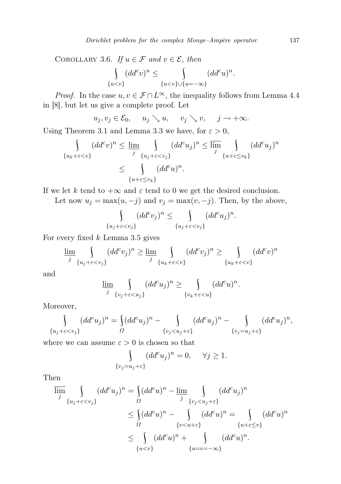COROLLARY 3.6. If  $u \in \mathcal{F}$  and  $v \in \mathcal{E}$ , then

$$
\int_{\{u
$$

*Proof.* In the case  $u, v \in \mathcal{F} \cap L^{\infty}$ , the inequality follows from Lemma 4.4 in [8], but let us give a complete proof. Let

$$
u_j, v_j \in \mathcal{E}_0
$$
,  $u_j \searrow u$ ,  $v_j \searrow v$ ,  $j \to +\infty$ .

Using Theorem 3.1 and Lemma 3.3 we have, for  $\varepsilon > 0$ ,

$$
\int_{\{u_k + \varepsilon < v\}} (dd^c v)^n \le \lim_{j} \int_{\{u_j + \varepsilon < v_j\}} (dd^c u_j)^n \le \overline{\lim}_{j} \int_{\{u + \varepsilon \le v_k\}} (dd^c u_j)^n
$$
\n
$$
\le \int_{\{u + \varepsilon \le v_k\}} (dd^c u)^n.
$$

If we let k tend to  $+\infty$  and  $\varepsilon$  tend to 0 we get the desired conclusion.

Let now  $u_j = \max(u, -j)$  and  $v_j = \max(v, -j)$ . Then, by the above,

$$
\int_{\{u_j+\varepsilon
$$

For every fixed  $k$  Lemma 3.5 gives

$$
\underline{\lim}_{j} \int_{\{u_j + \varepsilon < v_j\}} (dd^c v_j)^n \ge \underline{\lim}_{j} \int_{\{u_k + \varepsilon < v\}} (dd^c v_j)^n \ge \int_{\{u_k + \varepsilon < v\}} (dd^c v)^n
$$

and

$$
\underline{\lim}_{j} \int_{\{v_j + \varepsilon < u_j\}} (dd^c u_j)^n \ge \int_{\{v_k + \varepsilon < u\}} (dd^c u)^n.
$$

Moreover,

$$
\int_{\{u_j+\varepsilon < v_j\}} (dd^c u_j)^n = \int_{\Omega} (dd^c u_j)^n - \int_{\{v_j < u_j + \varepsilon\}} (dd^c u_j)^n - \int_{\{v_j = u_j + \varepsilon\}} (dd^c u_j)^n,
$$

where we can assume  $\varepsilon > 0$  is chosen so that

$$
\int_{\{v_j = u_j + \varepsilon\}} (dd^c u_j)^n = 0, \quad \forall j \ge 1.
$$

Then

$$
\overline{\lim}_{j} \int_{\{u_j + \varepsilon < v_j\}} (dd^c u_j)^n = \int_{\Omega} (dd^c u)^n - \underline{\lim}_{j} \int_{\{v_j < u_j + \varepsilon\}} (dd^c u_j)^n
$$
\n
$$
\leq \int_{\Omega} (dd^c u)^n - \int_{\{v < u + \varepsilon\}} (dd^c u)^n = \int_{\{u + \varepsilon \leq v\}} (dd^c u)^n
$$
\n
$$
\leq \int_{\{u < v\}} (dd^c u)^n + \int_{\{u = v = -\infty\}} (dd^c u)^n.
$$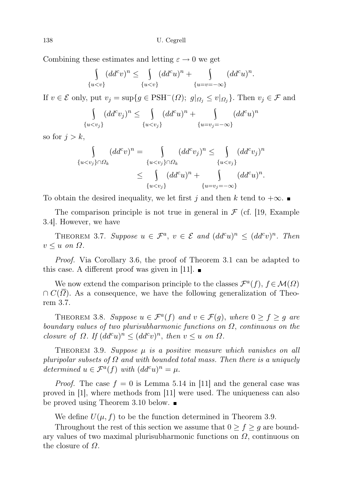138 U. Cegrell

Combining these estimates and letting  $\varepsilon \to 0$  we get

$$
\int_{\{u
$$

If  $v \in \mathcal{E}$  only, put  $v_j = \sup\{g \in \text{PSH}^-(\Omega); g|_{\Omega_j} \leq v|_{\Omega_j}\}\$ . Then  $v_j \in \mathcal{F}$  and

$$
\int_{\{u
$$

so for  $j > k$ ,

$$
\int_{\{u
$$
\leq \int_{\{u
$$
$$

To obtain the desired inequality, we let first j and then k tend to  $+\infty$ .

The comparison principle is not true in general in  $\mathcal F$  (cf. 19, Example 3.4]. However, we have

THEOREM 3.7. Suppose  $u \in \mathcal{F}^a$ ,  $v \in \mathcal{E}$  and  $(dd^c u)^n \leq (dd^c v)^n$ . Then  $v \leq u$  on  $\Omega$ .

Proof. Via Corollary 3.6, the proof of Theorem 3.1 can be adapted to this case. A different proof was given in [11].  $\blacksquare$ 

We now extend the comparison principle to the classes  $\mathcal{F}^{a}(f), f \in \mathcal{M}(\Omega)$  $\cap C(\Omega)$ . As a consequence, we have the following generalization of Theorem 3.7.

THEOREM 3.8. Suppose  $u \in \mathcal{F}^a(f)$  and  $v \in \mathcal{F}(g)$ , where  $0 \ge f \ge g$  are boundary values of two plurisubharmonic functions on  $\Omega$ , continuous on the closure of  $\Omega$ . If  $(dd^c u)^n \leq (dd^c v)^n$ , then  $v \leq u$  on  $\Omega$ .

THEOREM 3.9. Suppose  $\mu$  is a positive measure which vanishes on all pluripolar subsets of  $\Omega$  and with bounded total mass. Then there is a uniquely determined  $u \in \mathcal{F}^a(f)$  with  $(dd^c u)^n = \mu$ .

*Proof.* The case  $f = 0$  is Lemma 5.14 in [11] and the general case was proved in [1], where methods from [11] were used. The uniqueness can also be proved using Theorem 3.10 below.

We define  $U(\mu, f)$  to be the function determined in Theorem 3.9.

Throughout the rest of this section we assume that  $0 \ge f \ge q$  are boundary values of two maximal plurisubharmonic functions on  $\Omega$ , continuous on the closure of  $\Omega$ .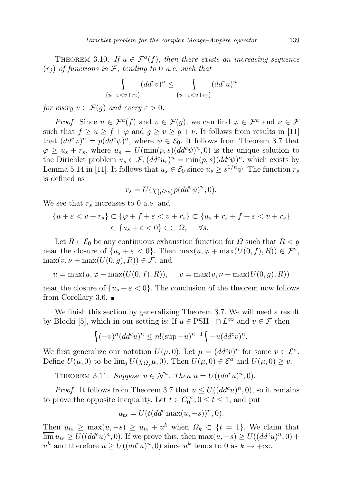THEOREM 3.10. If  $u \in \mathcal{F}^a(f)$ , then there exists an increasing sequence  $(r_i)$  of functions in F, tending to 0 a.e. such that

$$
\int_{\{u+\varepsilon < v+r_j\}} (dd^c v)^n \le \int_{\{u+\varepsilon < v+r_j\}} (dd^c u)^n
$$

for every  $v \in \mathcal{F}(g)$  and every  $\varepsilon > 0$ .

*Proof.* Since  $u \in \mathcal{F}^a(f)$  and  $v \in \mathcal{F}(g)$ , we can find  $\varphi \in \mathcal{F}^a$  and  $\nu \in \mathcal{F}$ such that  $f \ge u \ge f + \varphi$  and  $g \ge v \ge g + \nu$ . It follows from results in [11] that  $(dd^c\varphi)^n = p(dd^c\psi)^n$ , where  $\psi \in \mathcal{E}_0$ . It follows from Theorem 3.7 that  $\varphi \geq u_s + r_s$ , where  $u_s = U(\min(p, s)(dd^c \psi)^n, 0)$  is the unique solution to the Dirichlet problem  $u_s \in \mathcal{F}, (dd^c u_s)^n = \min(p, s)(dd^c \psi)^n$ , which exists by Lemma 5.14 in [11]. It follows that  $u_s \in \mathcal{E}_0$  since  $u_s \geq s^{1/n} \psi$ . The function  $r_s$ is defined as

$$
r_s = U(\chi_{\{p \ge s\}} p(dd^c \psi)^n, 0).
$$

We see that  $r_s$  increases to 0 a.e. and

$$
\{u + \varepsilon < v + r_s\} \subset \{\varphi + f + \varepsilon < v + r_s\} \subset \{u_s + r_s + f + \varepsilon < v + r_s\}
$$
\n
$$
\subset \{u_s + \varepsilon < 0\} \subset\subset \Omega, \quad \forall s.
$$

Let  $R \in \mathcal{E}_0$  be any continuous exhaustion function for  $\Omega$  such that  $R < g$ near the closure of  $\{u_s + \varepsilon < 0\}$ . Then  $\max(u, \varphi + \max(U(0, f), R)) \in \mathcal{F}^a$ ,  $\max(v, \nu + \max(U(0, g), R)) \in \mathcal{F}$ , and

$$
u = \max(u, \varphi + \max(U(0, f), R)), \quad v = \max(v, \nu + \max(U(0, g), R))
$$

near the closure of  $\{u_s + \varepsilon < 0\}$ . The conclusion of the theorem now follows from Corollary 3.6.

We finish this section by generalizing Theorem 3.7. We will need a result by Błocki [5], which in our setting is: If  $u \in PSH^{-} \cap L^{\infty}$  and  $v \in \mathcal{F}$  then

$$
\int (-v)^n (dd^c u)^n \le n!(\sup -u)^{n-1} \int -u (dd^c v)^n.
$$

We first generalize our notation  $U(\mu, 0)$ . Let  $\mu = (dd^c v)^n$  for some  $v \in \mathcal{E}^a$ . Define  $U(\mu, 0)$  to be  $\lim_{i} U(\chi_{\Omega_i} \mu, 0)$ . Then  $U(\mu, 0) \in \mathcal{E}^a$  and  $U(\mu, 0) \geq v$ .

THEOREM 3.11. Suppose  $u \in \mathcal{N}^a$ . Then  $u = U((dd^c u)^n, 0)$ .

*Proof.* It follows from Theorem 3.7 that  $u \leq U((dd^c u)^n, 0)$ , so it remains to prove the opposite inequality. Let  $t \in C_0^{\infty}, 0 \le t \le 1$ , and put

$$
u_{ts} = U(t(dd^c \max(u, -s))^n, 0).
$$

Then  $u_{ts} \geq \max(u, -s) \geq u_{ts} + u^k$  when  $\Omega_k \subset \{t = 1\}$ . We claim that  $\overline{\lim} u_{ts} \ge U((dd^c u)^n, 0)$ . If we prove this, then  $\max(u, -s) \ge U((dd^c u)^n, 0) +$  $u^k$  and therefore  $u \ge U((dd^c u)^n, 0)$  since  $u^k$  tends to 0 as  $k \to +\infty$ .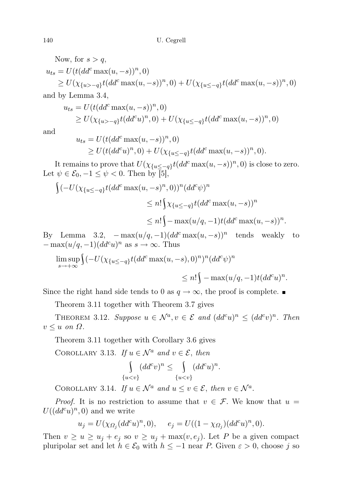Now, for  $s > q$ ,  $u_{ts} = U(t(dd^c \max(u, -s))^n, 0)$  $\geq U(\chi_{\{u>-q\}}t(dd^c\max(u,-s))^n,0)+U(\chi_{\{u\leq -q\}}t(dd^c\max(u,-s))^n,0)$ and by Lemma 3.4,

$$
u_{ts} = U(t(dd^c \max(u, -s))^n, 0)
$$
  
\n
$$
\geq U(\chi_{\{u>-q\}} t(dd^c u)^n, 0) + U(\chi_{\{u \leq -q\}} t(dd^c \max(u, -s))^n, 0)
$$

and

$$
u_{ts} = U(t(dd^c \max(u, -s))^n, 0)
$$
  
\n
$$
\geq U(t(dd^c u)^n, 0) + U(\chi_{\{u \leq -q\}} t(dd^c \max(u, -s))^n, 0).
$$

It remains to prove that  $U(\chi_{\{u \le -q\}} t(dd^c \max(u,-s))^n,0)$  is close to zero. Let  $\psi \in \mathcal{E}_0, -1 \leq \psi < 0$ . Then by [5],

$$
\int (-U(\chi_{\{u \le -q\}}t(dd^c \max(u,-s)^n,0))^n(dd^c\psi)^n
$$
  
\n
$$
\le n!\int \chi_{\{u \le -q\}}t(dd^c \max(u,-s))^n
$$
  
\n
$$
\le n!\int \max(u/q,-1)t(dd^c \max(u,-s))^n.
$$

By Lemma 3.2,  $-\max(u/q, -1)(dd^c \max(u, -s))^n$  tends weakly to  $-\max(u/q, -1)(dd^c u)^n$  as  $s \to \infty$ . Thus

$$
\limsup_{s \to +\infty} \int (-U(\chi_{\{u \le -q\}} t(dd^c \max(u, -s), 0)^n)^n (dd^c \psi)^n
$$
  

$$
\le n! \int -\max(u/q, -1) t (dd^c u)^n.
$$

Since the right hand side tends to 0 as  $q \to \infty$ , the proof is complete.

Theorem 3.11 together with Theorem 3.7 gives

THEOREM 3.12. Suppose  $u \in \mathcal{N}^a, v \in \mathcal{E}$  and  $(dd^c u)^n \leq (dd^c v)^n$ . Then  $v \leq u$  on  $\Omega$ .

Theorem 3.11 together with Corollary 3.6 gives

COROLLARY 3.13. If  $u \in \mathcal{N}^a$  and  $v \in \mathcal{E}$ , then

$$
\int_{\{u
$$

COROLLARY 3.14. If  $u \in \mathcal{N}^a$  and  $u \le v \in \mathcal{E}$ , then  $v \in \mathcal{N}^a$ .

*Proof.* It is no restriction to assume that  $v \in \mathcal{F}$ . We know that  $u =$  $U((dd^c u)^n, 0)$  and we write

$$
u_j=U(\chi_{\varOmega_j}(dd^cu)^n,0),\quad \ e_j=U((1-\chi_{\varOmega_j})(dd^cu)^n,0).
$$

Then  $v \ge u \ge u_j + e_j$  so  $v \ge u_j + \max(v, e_j)$ . Let P be a given compact pluripolar set and let  $h \in \mathcal{E}_0$  with  $h \leq -1$  near P. Given  $\varepsilon > 0$ , choose j so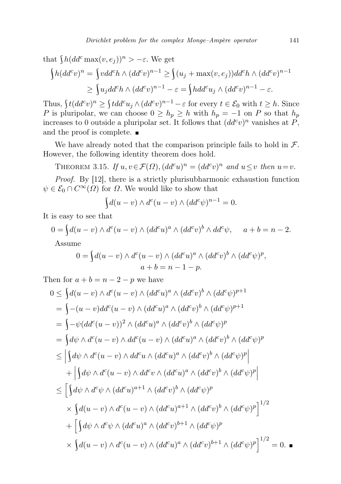that  $\int h(dd^c \max(v,e_j))^n > -\varepsilon$ . We get

$$
\begin{aligned} \int h(dd^c v)^n &= \int vdd^c h \wedge (dd^c v)^{n-1} \ge \int (u_j + \max(v, e_j)) dd^c h \wedge (dd^c v)^{n-1} \\ &\ge \int u_j dd^c h \wedge (dd^c v)^{n-1} - \varepsilon = \int hdd^c u_j \wedge (dd^c v)^{n-1} - \varepsilon. \end{aligned}
$$

Thus,  $\int t(dd^c v)^n \geq \int tdd^c u_j \wedge (dd^c v)^{n-1} - \varepsilon$  for every  $t \in \mathcal{E}_0$  with  $t \geq h$ . Since P is pluripolar, we can choose  $0 \ge h_p \ge h$  with  $h_p = -1$  on P so that  $h_p$ increases to 0 outside a pluripolar set. It follows that  $(dd^c v)^n$  vanishes at P, and the proof is complete.

We have already noted that the comparison principle fails to hold in  $\mathcal{F}$ . However, the following identity theorem does hold.

THEOREM 3.15. If  $u, v \in \mathcal{F}(\Omega)$ ,  $(dd^c u)^n = (dd^c v)^n$  and  $u \leq v$  then  $u = v$ .

Proof. By [12], there is a strictly plurisubharmonic exhaustion function  $\psi \in \mathcal{E}_0 \cap C^{\infty}(\Omega)$  for  $\Omega$ . We would like to show that

$$
\int d(u - v) \wedge d^{c}(u - v) \wedge (dd^{c}\psi)^{n-1} = 0.
$$

It is easy to see that

$$
0 = \int d(u - v) \wedge d^{c}(u - v) \wedge (dd^{c}u)^{a} \wedge (dd^{c}v)^{b} \wedge dd^{c}\psi, \quad a + b = n - 2.
$$
  
Assume

$$
0 = \int d(u - v) \wedge d^{c}(u - v) \wedge (dd^{c}u)^{a} \wedge (dd^{c}v)^{b} \wedge (dd^{c}\psi)^{p},
$$
  

$$
a + b = n - 1 - p.
$$

Then for  $a + b = n - 2 - p$  we have

$$
0 \leq \int d(u-v) \wedge d^{c}(u-v) \wedge (dd^{c}u)^{a} \wedge (dd^{c}v)^{b} \wedge (dd^{c}\psi)^{p+1}
$$
  
\n
$$
= \int -(u-v)dd^{c}(u-v) \wedge (dd^{c}u)^{a} \wedge (dd^{c}v)^{b} \wedge (dd^{c}\psi)^{p+1}
$$
  
\n
$$
= \int -\psi (dd^{c}(u-v))^{2} \wedge (dd^{c}u)^{a} \wedge (dd^{c}v)^{b} \wedge (dd^{c}\psi)^{p}
$$
  
\n
$$
= \int d\psi \wedge d^{c}(u-v) \wedge dd^{c}(u-v) \wedge (dd^{c}u)^{a} \wedge (dd^{c}v)^{b} \wedge (dd^{c}\psi)^{p}
$$
  
\n
$$
\leq \left| \int d\psi \wedge d^{c}(u-v) \wedge dd^{c}u \wedge (dd^{c}u)^{a} \wedge (dd^{c}v)^{b} \wedge (dd^{c}\psi)^{p} \right|
$$
  
\n
$$
+ \left| \int d\psi \wedge d^{c}(u-v) \wedge dd^{c}v \wedge (dd^{c}u)^{a} \wedge (dd^{c}v)^{b} \wedge (dd^{c}\psi)^{p} \right|
$$
  
\n
$$
\leq \left[ \int d\psi \wedge d^{c}\psi \wedge (dd^{c}u)^{a+1} \wedge (dd^{c}v)^{b} \wedge (dd^{c}\psi)^{p} \right]
$$
  
\n
$$
\times \int d(u-v) \wedge d^{c}(u-v) \wedge (dd^{c}u)^{a+1} \wedge (dd^{c}v)^{b} \wedge (dd^{c}\psi)^{p} \right]^{1/2}
$$
  
\n
$$
+ \left[ \int d\psi \wedge d^{c}\psi \wedge (dd^{c}u)^{a} \wedge (dd^{c}v)^{b+1} \wedge (dd^{c}\psi)^{p} \right]
$$
  
\n
$$
\times \int d(u-v) \wedge d^{c}(u-v) \wedge (dd^{c}u)^{a} \wedge (dd^{c}v)^{b+1} \wedge (dd^{c}\psi)^{p} \right]^{1/2} = 0.
$$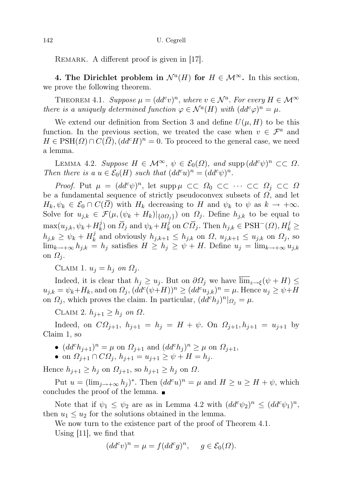REMARK. A different proof is given in [17].

4. The Dirichlet problem in  $\mathcal{N}^a(H)$  for  $H \in \mathcal{M}^\infty$ . In this section, we prove the following theorem.

THEOREM 4.1. Suppose  $\mu = (dd^c v)^n$ , where  $v \in \mathcal{N}^a$ . For every  $H \in \mathcal{M}^\infty$ there is a uniquely determined function  $\varphi \in \mathcal{N}^a(H)$  with  $(dd^c\varphi)^n = \mu$ .

We extend our definition from Section 3 and define  $U(\mu, H)$  to be this function. In the previous section, we treated the case when  $v \in \mathcal{F}^a$  and  $H \in \text{PSH}(\Omega) \cap C(\overline{\Omega}), (dd^c H)^n = 0$ . To proceed to the general case, we need a lemma.

LEMMA 4.2. Suppose  $H \in \mathcal{M}^{\infty}$ ,  $\psi \in \mathcal{E}_0(\Omega)$ , and supp  $(dd^c\psi)^n \subset\subset \Omega$ . Then there is a  $u \in \mathcal{E}_0(H)$  such that  $(dd^c u)^n = (dd^c \psi)^n$ .

*Proof.* Put  $\mu = (dd^c \psi)^n$ , let  $\text{supp}\,\mu \subset\subset \Omega_0 \subset\subset \cdots \subset\subset \Omega_j \subset\subset \Omega$ be a fundamental sequence of strictly pseudoconvex subsets of  $\Omega$ , and let  $H_k, \psi_k \in \mathcal{E}_0 \cap C(\overline{\Omega})$  with  $H_k$  decreasing to H and  $\psi_k$  to  $\psi$  as  $k \to +\infty$ . Solve for  $u_{j,k} \in \mathcal{F}(\mu, (\psi_k + H_k)|_{\{\partial \Omega_j\}})$  on  $\Omega_j$ . Define  $h_{j,k}$  to be equal to  $\max(u_{j,k}, \psi_k + H_k^j)$  $\bar{N}_k$ ) on  $\overline{Q}_j$  and  $\psi_k + H_k^j$  $k \atop k$  on  $C\overline{\Omega}_j$ . Then  $h_{j,k} \in \text{PSH}^-(\Omega)$ ,  $H_k^j \geq$  $h_{j,k} \geq \psi_k + H_k^j$  $\hat{h}_k^j$  and obviously  $h_{j,k+1} \leq h_{j,k}$  on  $\Omega$ ,  $u_{j,k+1} \leq u_{j,k}$  on  $\Omega_j$ , so  $\lim_{k\to+\infty} h_{j,k} = h_j$  satisfies  $H \ge h_j \ge \psi + H$ . Define  $u_j = \lim_{k\to+\infty} u_{j,k}$ on  $\Omega_i$ .

CLAIM 1.  $u_j = h_j$  on  $\Omega_j$ .

Indeed, it is clear that  $h_j \geq u_j$ . But on  $\partial \Omega_j$  we have  $\overline{\lim}_{z \to \xi} (\psi + H) \leq$  $u_{j,k} = \psi_k + H_k$ , and on  $\Omega_j$ ,  $(dd^c(\psi+H))^n \geq (dd^c u_{j,k})^n = \mu$ . Hence  $u_j \geq \psi+H$ on  $\Omega_j$ , which proves the claim. In particular,  $(dd^c h_j)^n|_{\Omega_j}=\mu$ .

CLAIM 2.  $h_{i+1} \geq h_i$  on  $\Omega$ .

Indeed, on  $C\Omega_{j+1}$ ,  $h_{j+1} = h_j = H + \psi$ . On  $\Omega_{j+1}, h_{j+1} = u_{j+1}$  by Claim 1, so

- $(dd^ch_{j+1})^n=\mu$  on  $\Omega_{j+1}$  and  $(dd^ch_j)^n\geq\mu$  on  $\Omega_{j+1}$ ,
- on  $\Omega_{i+1} \cap C\Omega_i$ ,  $h_{i+1} = u_{i+1} \geq \psi + H = h_i$ .

Hence  $h_{j+1} \geq h_j$  on  $\Omega_{j+1}$ , so  $h_{j+1} \geq h_j$  on  $\Omega$ .

Put  $u = (\lim_{j \to +\infty} h_j)^*$ . Then  $(dd^c u)^n = \mu$  and  $H \ge u \ge H + \psi$ , which concludes the proof of the lemma.

Note that if  $\psi_1 \leq \psi_2$  are as in Lemma 4.2 with  $(dd^c\psi_2)^n \leq (dd^c\psi_1)^n$ , then  $u_1 \leq u_2$  for the solutions obtained in the lemma.

We now turn to the existence part of the proof of Theorem 4.1.

Using [11], we find that

$$
(dd^c v)^n = \mu = f(dd^c g)^n, \quad g \in \mathcal{E}_0(\Omega).
$$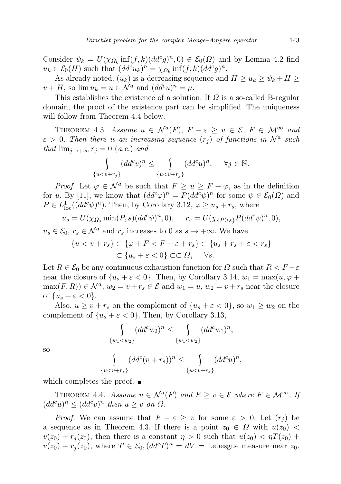Consider  $\psi_k = U(\chi_{\Omega_k} \inf(f, k) (dd^c g)^n, 0) \in \mathcal{E}_0(\Omega)$  and by Lemma 4.2 find  $u_k \in \mathcal{E}_0(H)$  such that  $(dd^c u_k)^n = \chi_{\Omega_k} \inf(f, k) (dd^c g)^n$ .

As already noted,  $(u_k)$  is a decreasing sequence and  $H \ge u_k \ge \psi_k + H \ge$  $v + H$ , so  $\lim u_k = u \in \mathcal{N}^a$  and  $(dd^c u)^n = \mu$ .

This establishes the existence of a solution. If  $\Omega$  is a so-called B-regular domain, the proof of the existence part can be simplified. The uniqueness will follow from Theorem 4.4 below.

THEOREM 4.3. Assume  $u \in \mathcal{N}^a(F)$ ,  $F - \varepsilon \ge v \in \mathcal{E}$ ,  $F \in \mathcal{M}^{\infty}$  and  $\varepsilon > 0$ . Then there is an increasing sequence  $(r_j)$  of functions in  $\mathcal{N}^a$  such that  $\lim_{j\to+\infty} r_j = 0$  (a.e.) and

$$
\int_{u
$$

*Proof.* Let  $\varphi \in \mathcal{N}^a$  be such that  $F \ge u \ge F + \varphi$ , as in the definition for u. By [11], we know that  $(dd^c\varphi)^n = P(dd^c\psi)^n$  for some  $\psi \in \mathcal{E}_0(\Omega)$  and  $P \in L^1_{loc}((dd^c\psi)^n)$ . Then, by Corollary 3.12,  $\varphi \ge u_s + r_s$ , where

$$
u_s = U(\chi_{\Omega_s} \min(P, s)(dd^c \psi)^n, 0), \quad r_s = U(\chi_{\{P \ge s\}} P(dd^c \psi)^n, 0),
$$

 $u_s \in \mathcal{E}_0$ ,  $r_s \in \mathcal{N}^a$  and  $r_s$  increases to 0 as  $s \to +\infty$ . We have

$$
\{u < v + r_s\} \subset \{\varphi + F < F - \varepsilon + r_s\} \subset \{u_s + r_s + \varepsilon < r_s\}
$$
  

$$
\subset \{u_s + \varepsilon < 0\} \subset \subset \Omega, \quad \forall s.
$$

Let  $R \in \mathcal{E}_0$  be any continuous exhaustion function for  $\Omega$  such that  $R \leq F - \varepsilon$ near the closure of  $\{u_s + \varepsilon < 0\}$ . Then, by Corollary 3.14,  $w_1 = \max(u, \varphi + \varphi)$  $\max(F,R)$ )  $\in \mathcal{N}^a$ ,  $w_2 = v + r_s \in \mathcal{E}$  and  $w_1 = u$ ,  $w_2 = v + r_s$  near the closure of  $\{u_s + \varepsilon < 0\}.$ 

Also,  $u \ge v + r_s$  on the complement of  $\{u_s + \varepsilon < 0\}$ , so  $w_1 \ge w_2$  on the complement of  $\{u_s + \varepsilon < 0\}$ . Then, by Corollary 3.13,

$$
\int_{\{w_1 < w_2\}} (dd^c w_2)^n \le \int_{\{w_1 < w_2\}} (dd^c w_1)^n,
$$

so

$$
\int_{\{u
$$

which completes the proof.

 $\{$ 

THEOREM 4.4. Assume  $u \in \mathcal{N}^a(F)$  and  $F \ge v \in \mathcal{E}$  where  $F \in \mathcal{M}^{\infty}$ . If  $(dd^c u)^n \leq (dd^c v)^n$  then  $u \geq v$  on  $\Omega$ .

*Proof.* We can assume that  $F - \varepsilon \geq v$  for some  $\varepsilon > 0$ . Let  $(r_i)$  be a sequence as in Theorem 4.3. If there is a point  $z_0 \in \Omega$  with  $u(z_0)$  <  $v(z_0) + r_i(z_0)$ , then there is a constant  $\eta > 0$  such that  $u(z_0) < \eta T(z_0) + \eta T(z_0)$  $v(z_0) + r_j(z_0)$ , where  $T \in \mathcal{E}_0$ ,  $(dd^cT)^n = dV = \text{Lebesgue measure near } z_0$ .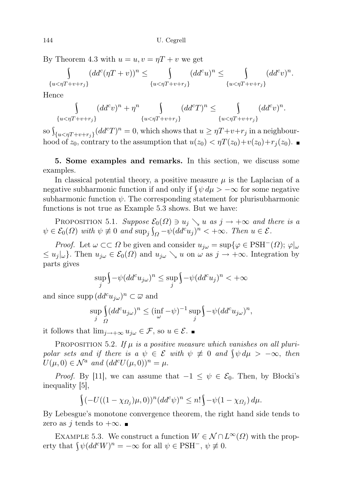By Theorem 4.3 with  $u = u, v = \eta T + v$  we get

$$
\int_{\{u < \eta T + v + r_j\}} (dd^c (\eta T + v))^n \le \int_{\{u < \eta T + v + r_j\}} (dd^c u)^n \le \int_{\{u < \eta T + v + r_j\}} (dd^c v)^n.
$$

Hence

$$
\int_{\{u < \eta T + v + r_j\}} (dd^c v)^n + \eta^n \int_{\{u < \eta T + v + r_j\}} (dd^c T)^n \leq \int_{\{u < \eta T + v + r_j\}} (dd^c v)^n.
$$

so  $\int_{\{u \leq \eta T + v + r_j\}} (dd^c T)^n = 0$ , which shows that  $u \geq \eta T + v + r_j$  in a neighbourhood of  $z_0$ , contrary to the assumption that  $u(z_0) < \eta T(z_0) + v(z_0) + r_i(z_0)$ .

## 5. Some examples and remarks. In this section, we discuss some examples.

In classical potential theory, a positive measure  $\mu$  is the Laplacian of a negative subharmonic function if and only if  $\int \psi d\mu > -\infty$  for some negative subharmonic function  $\psi$ . The corresponding statement for plurisubharmonic functions is not true as Example 5.3 shows. But we have:

PROPOSITION 5.1. Suppose  $\mathcal{E}_0(\Omega) \ni u_j \searrow u$  as  $j \to +\infty$  and there is a  $\psi \in \mathcal{E}_0(\Omega)$  with  $\psi \not\equiv 0$  and  $\sup_j \int_{\Omega} -\psi (dd^c u_j)^n < +\infty$ . Then  $u \in \mathcal{E}$ .

*Proof.* Let  $\omega \subset\subset \Omega$  be given and consider  $u_{j\omega} = \sup\{\varphi \in \mathrm{PSH}^-(\Omega); \varphi|_{\omega}\}\$  $\leq u_j|\omega$ . Then  $u_{j\omega} \in \mathcal{E}_0(\Omega)$  and  $u_{j\omega} \searrow u$  on  $\omega$  as  $j \to +\infty$ . Integration by parts gives

$$
\sup_j \Bigl\{ -\psi (dd^c u_{j\omega})^n \leq \sup_j \Bigl\{ -\psi (dd^c u_j)^n < +\infty
$$

and since supp  $(dd^c u_{j\omega})^n\subset\overline{\omega}$  and

$$
\sup_{j} \int_{\Omega} (dd^c u_{j\omega})^n \le (\inf_{\omega} -\psi)^{-1} \sup_{j} \int_{-\psi} (dd^c u_{j\omega})^n,
$$

it follows that  $\lim_{j\to+\infty} u_{j\omega} \in \mathcal{F}$ , so  $u \in \mathcal{E}$ . ■

PROPOSITION 5.2. If  $\mu$  is a positive measure which vanishes on all pluripolar sets and if there is a  $\psi \in \mathcal{E}$  with  $\psi \not\equiv 0$  and  $\oint \psi d\mu > -\infty$ , then  $U(\mu, 0) \in \mathcal{N}^a$  and  $(dd^c U(\mu, 0))^n = \mu$ .

*Proof.* By [11], we can assume that  $-1 \leq \psi \in \mathcal{E}_0$ . Then, by Blocki's inequality [5],

$$
\int (-U((1-\chi_{\Omega_j})\mu,0))^n (dd^c \psi)^n \leq n! \int -\psi(1-\chi_{\Omega_j}) d\mu.
$$

By Lebesgue's monotone convergence theorem, the right hand side tends to zero as j tends to  $+\infty$ .

EXAMPLE 5.3. We construct a function  $W \in \mathcal{N} \cap L^{\infty}(\Omega)$  with the property that  $\oint \psi (dd^c W)^n = -\infty$  for all  $\psi \in \text{PSH}^-$ ,  $\psi \not\equiv 0$ .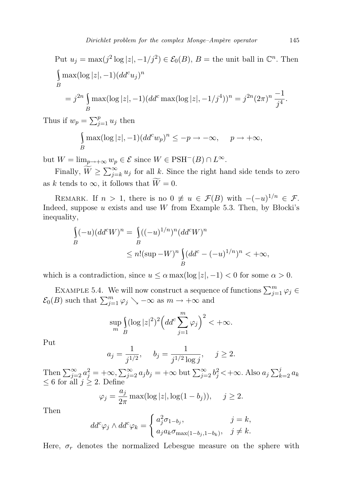Put 
$$
u_j = \max(j^2 \log |z|, -1/j^2) \in \mathcal{E}_0(B)
$$
,  $B =$  the unit ball in  $\mathbb{C}^n$ . Then  
\n
$$
\int_B \max(\log |z|, -1) (dd^c u_j)^n
$$
\n
$$
= j^{2n} \int_B \max(\log |z|, -1) (dd^c \max(\log |z|, -1/j^4))^n = j^{2n} (2\pi)^n \frac{-1}{j^4}.
$$

Thus if  $w_p = \sum_{j=1}^p u_j$  then

$$
\int_{B} \max(\log |z|, -1) (dd^c w_p)^n \le -p \to -\infty, \quad p \to +\infty,
$$

but  $W = \lim_{p \to +\infty} w_p \in \mathcal{E}$  since  $W \in \text{PSH}^-(B) \cap L^{\infty}$ .

Finally,  $\widetilde{W} \ge \sum_{j=k}^{\infty} u_j$  for all k. Since the right hand side tends to zero as k tends to  $\infty$ , it follows that  $\widetilde{W} = 0$ .

REMARK. If  $n > 1$ , there is no  $0 \neq u \in \mathcal{F}(B)$  with  $-(-u)^{1/n} \in \mathcal{F}$ . Indeed, suppose u exists and use W from Example 5.3. Then, by Blocki's inequality,

$$
\int_{B} (-u)(dd^{c}W)^{n} = \int_{B} ((-u)^{1/n})^{n} (dd^{c}W)^{n}
$$
  
\n
$$
\leq n!(\sup -W)^{n} \int_{B} (dd^{c} - (-u)^{1/n})^{n} < +\infty,
$$

which is a contradiction, since  $u \le \alpha \max(\log |z|, -1) < 0$  for some  $\alpha > 0$ .

EXAMPLE 5.4. We will now construct a sequence of functions  $\sum_{j=1}^{m} \varphi_j \in$  $\mathcal{E}_0(B)$  such that  $\sum_{j=1}^m \varphi_j \searrow -\infty$  as  $m \to +\infty$  and

$$
\sup_{m} \int_{B} (\log |z|^2)^2 \left( dd^c \sum_{j=1}^{m} \varphi_j \right)^2 < +\infty.
$$

Put

$$
a_j = \frac{1}{j^{1/2}},
$$
  $b_j = \frac{1}{j^{1/2} \log j},$   $j \ge 2.$ 

Then  $\sum_{j=2}^{\infty} a_j^2 = +\infty$ ,  $\sum_{j=2}^{\infty} a_j b_j = +\infty$  but  $\sum_{j=2}^{\infty} b_j^2 < +\infty$ . Also  $a_j \sum_{k=2}^j a_k$  $\leq 6$  for all  $j \geq 2$ . Define

$$
\varphi_j = \frac{a_j}{2\pi} \max(\log|z|, \log(1 - b_j)), \quad j \ge 2.
$$

Then

$$
dd^c \varphi_j \wedge dd^c \varphi_k = \begin{cases} a_j^2 \sigma_{1-b_j}, & j=k, \\ a_j a_k \sigma_{\max(1-b_j, 1-b_k)}, & j \neq k. \end{cases}
$$

Here,  $\sigma_r$  denotes the normalized Lebesgue measure on the sphere with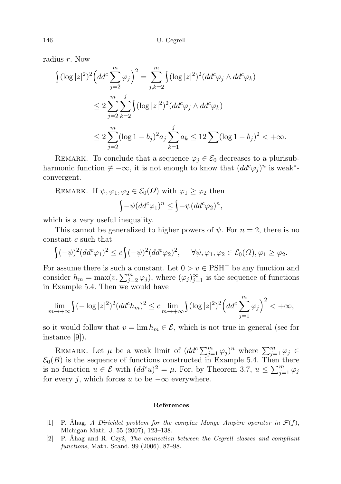radius r. Now

$$
\begin{split} \int (\log |z|^2)^2 \Big( dd^c \sum_{j=2}^m \varphi_j \Big)^2 &= \sum_{j,k=2}^m \int (\log |z|^2)^2 (dd^c \varphi_j \wedge dd^c \varphi_k) \\ &\le 2 \sum_{j=2}^m \sum_{k=2}^j \int (\log |z|^2)^2 (dd^c \varphi_j \wedge dd^c \varphi_k) \\ &\le 2 \sum_{j=2}^m (\log 1 - b_j)^2 a_j \sum_{k=1}^j a_k \le 12 \sum (\log 1 - b_j)^2 < +\infty. \end{split}
$$

REMARK. To conclude that a sequence  $\varphi_i \in \mathcal{E}_0$  decreases to a plurisubharmonic function  $\neq -\infty$ , it is not enough to know that  $(dd^c\varphi_j)^n$  is weak<sup>\*</sup>convergent.

REMARK. If 
$$
\psi, \varphi_1, \varphi_2 \in \mathcal{E}_0(\Omega)
$$
 with  $\varphi_1 \ge \varphi_2$  then  
\n
$$
\int -\psi (dd^c \varphi_1)^n \le \int -\psi (dd^c \varphi_2)^n,
$$

which is a very useful inequality.

This cannot be generalized to higher powers of  $\psi$ . For  $n = 2$ , there is no constant c such that

$$
\int (-\psi)^2 (dd^c \varphi_1)^2 \leq c \int (-\psi)^2 (dd^c \varphi_2)^2, \quad \forall \psi, \varphi_1, \varphi_2 \in \mathcal{E}_0(\Omega), \varphi_1 \geq \varphi_2.
$$

For assume there is such a constant. Let  $0 > v \in \mathrm{PSH}^-$  be any function and consider  $h_m = \max(v, \sum_{j=2}^m \varphi_j)$ , where  $(\varphi_j)_{j=1}^{\infty}$  is the sequence of functions in Example 5.4. Then we would have

$$
\lim_{m\to+\infty}\int_{\gamma}(-\log|z|^2)^2(dd^ch_m)^2\leq c\lim_{m\to+\infty}\int_{\gamma}(\log|z|^2)^2\left(dd^c\sum_{j=1}^m\varphi_j\right)^2<+\infty,
$$

so it would follow that  $v = \lim h_m \in \mathcal{E}$ , which is not true in general (see for instance [9]).

REMARK. Let  $\mu$  be a weak limit of  $(dd^c\sum_{j=1}^m\varphi_j)^n$  where  $\sum_{j=1}^m\varphi_j \in$  $\mathcal{E}_0(B)$  is the sequence of functions constructed in Example 5.4. Then there is no function  $u \in \mathcal{E}$  with  $(dd^c u)^2 = \mu$ . For, by Theorem 3.7,  $u \leq \sum_{j=1}^m \varphi_j$ for every j, which forces u to be  $-\infty$  everywhere.

## References

- [1] P. Åhag, A Dirichlet problem for the complex Monge–Ampère operator in  $\mathcal{F}(f)$ , Michigan Math. J. 55 (2007), 123–138.
- [2] P. Åhag and R. Czyż, The connection between the Cegrell classes and compliant functions, Math. Scand. 99 (2006), 87–98.